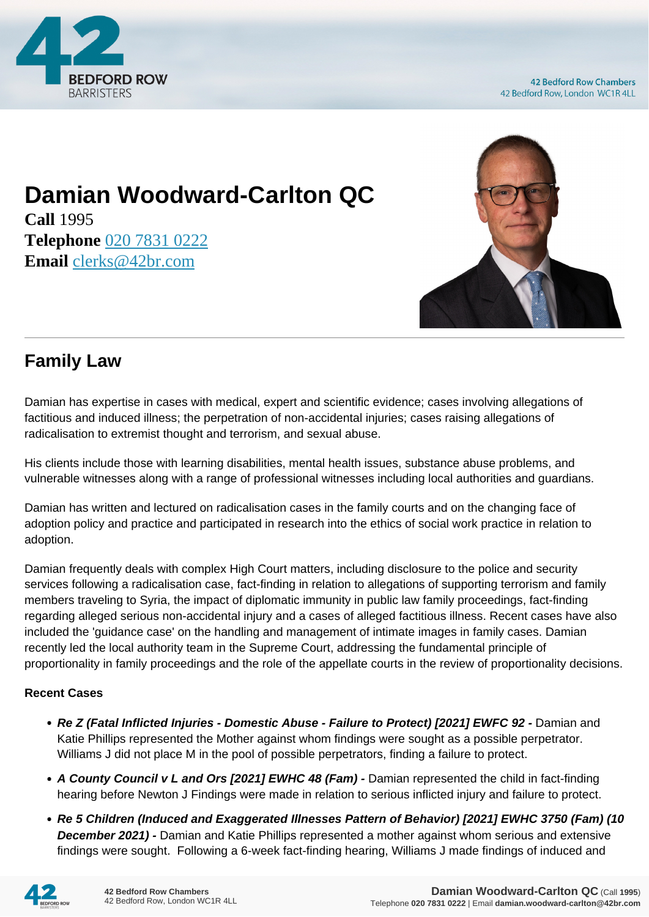

## **Damian Woodward-Carlton QC**

**Call** 1995 **Telephone** [020 7831 0222](https://pdf.codeshore.co/_42br/tel:020 7831 0222) **Email** [clerks@42br.com](mailto:clerks@42br.com)



## **Family Law**

Damian has expertise in cases with medical, expert and scientific evidence; cases involving allegations of factitious and induced illness; the perpetration of non-accidental injuries; cases raising allegations of radicalisation to extremist thought and terrorism, and sexual abuse.

His clients include those with learning disabilities, mental health issues, substance abuse problems, and vulnerable witnesses along with a range of professional witnesses including local authorities and guardians.

Damian has written and lectured on radicalisation cases in the family courts and on the changing face of adoption policy and practice and participated in research into the ethics of social work practice in relation to adoption.

Damian frequently deals with complex High Court matters, including disclosure to the police and security services following a radicalisation case, fact-finding in relation to allegations of supporting terrorism and family members traveling to Syria, the impact of diplomatic immunity in public law family proceedings, fact-finding regarding alleged serious non-accidental injury and a cases of alleged factitious illness. Recent cases have also included the 'guidance case' on the handling and management of intimate images in family cases. Damian recently led the local authority team in the Supreme Court, addressing the fundamental principle of proportionality in family proceedings and the role of the appellate courts in the review of proportionality decisions.

## **Recent Cases**

- **Re Z (Fatal Inflicted Injuries Domestic Abuse Failure to Protect) [2021] EWFC 92 Damian and** Katie Phillips represented the Mother against whom findings were sought as a possible perpetrator. Williams J did not place M in the pool of possible perpetrators, finding a failure to protect.
- A County Council v L and Ors [2021] EWHC 48 (Fam) Damian represented the child in fact-finding hearing before Newton J Findings were made in relation to serious inflicted injury and failure to protect.
- **Re 5 Children (Induced and Exaggerated Illnesses Pattern of Behavior) [2021] EWHC 3750 (Fam) (10 December 2021) -** Damian and Katie Phillips represented a mother against whom serious and extensive findings were sought. Following a 6-week fact-finding hearing, Williams J made findings of induced and